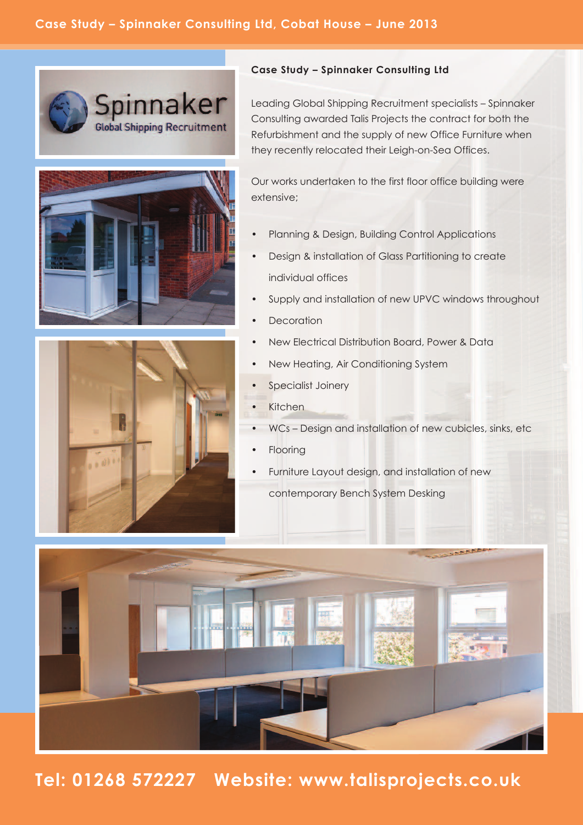

## **Case Study – Spinnaker Consulting Ltd**

Leading Global Shipping Recruitment specialists – Spinnaker Consulting awarded Talis Projects the contract for both the Refurbishment and the supply of new Office Furniture when they recently relocated their Leigh-on-Sea Offices.

Our works undertaken to the first floor office building were extensive;

- Planning & Design, Building Control Applications
- Design & installation of Glass Partitioning to create individual offices
- Supply and installation of new UPVC windows throughout
- **Decoration**
- New Electrical Distribution Board, Power & Data
- New Heating, Air Conditioning System
- Specialist Joinery
	- **Kitchen**
- WCs Design and installation of new cubicles, sinks, etc
- **Flooring**
- Furniture Layout design, and installation of new
	- contemporary Bench System Desking



**Tel: 01268 572227 Website: www.talisprojects.co.uk**